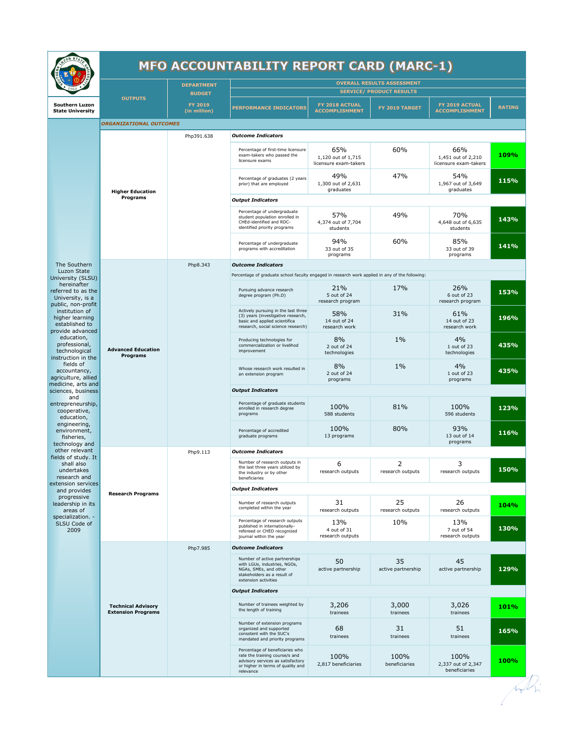|                                                                                                                                                                                                                                                                                  | <b>MFO ACCOUNTABILITY REPORT CARD (MARC-1)</b>         |                                          |                                                                                                                                                          |                                                    |                          |                                                    |               |  |  |
|----------------------------------------------------------------------------------------------------------------------------------------------------------------------------------------------------------------------------------------------------------------------------------|--------------------------------------------------------|------------------------------------------|----------------------------------------------------------------------------------------------------------------------------------------------------------|----------------------------------------------------|--------------------------|----------------------------------------------------|---------------|--|--|
|                                                                                                                                                                                                                                                                                  |                                                        | <b>DEPARTMENT</b>                        | <b>OVERALL RESULTS ASSESSMENT</b><br><b>SERVICE/ PRODUCT RESULTS</b>                                                                                     |                                                    |                          |                                                    |               |  |  |
| Southern Luzon<br><b>State University</b>                                                                                                                                                                                                                                        | <b>OUTPUTS</b>                                         | <b>BUDGET</b><br>FY 2019<br>(in million) | <b>PERFORMANCE INDICATORS</b>                                                                                                                            | FY 2018 ACTUAL<br><b>ACCOMPLISHMENT</b>            | FY 2019 TARGET           | FY 2019 ACTUAL<br><b>ACCOMPLISHMENT</b>            | <b>RATING</b> |  |  |
|                                                                                                                                                                                                                                                                                  | <b>ORGANIZATIONAL OUTCOMES</b>                         |                                          |                                                                                                                                                          |                                                    |                          |                                                    |               |  |  |
|                                                                                                                                                                                                                                                                                  |                                                        | Php391.638                               | <b>Outcome Indicators</b>                                                                                                                                |                                                    |                          |                                                    |               |  |  |
|                                                                                                                                                                                                                                                                                  | <b>Higher Education</b><br>Programs                    |                                          | Percentage of first-time licensure<br>exam-takers who passed the<br>licensure exams                                                                      | 65%<br>1,120 out of 1,715<br>licensure exam-takers | 60%                      | 66%<br>1,451 out of 2,210<br>licensure exam-takers | 109%          |  |  |
|                                                                                                                                                                                                                                                                                  |                                                        |                                          | Percentage of graduates (2 years<br>prior) that are employed                                                                                             | 49%<br>1,300 out of 2,631<br>graduates             | 47%                      | 54%<br>1,967 out of 3,649<br>graduates             | 115%          |  |  |
|                                                                                                                                                                                                                                                                                  |                                                        |                                          | <b>Output Indicators</b>                                                                                                                                 |                                                    |                          |                                                    |               |  |  |
|                                                                                                                                                                                                                                                                                  |                                                        |                                          | Percentage of undergraduate<br>student population enrolled in<br>CHEd-identified and RDC-<br>identified priority programs                                | 57%<br>4,374 out of 7,704<br>students              | 49%                      | 70%<br>4,648 out of 6,635<br>students              | 143%          |  |  |
|                                                                                                                                                                                                                                                                                  |                                                        |                                          | Percentage of undergraduate<br>programs with accreditation                                                                                               | 94%<br>33 out of 35<br>programs                    | 60%                      | 85%<br>33 out of 39<br>programs                    | 141%          |  |  |
| The Southern<br>Luzon State                                                                                                                                                                                                                                                      |                                                        | Php8.343                                 | <b>Outcome Indicators</b>                                                                                                                                |                                                    |                          |                                                    |               |  |  |
| University (SLSU)                                                                                                                                                                                                                                                                |                                                        |                                          | Percentage of graduate school faculty engaged in research work applied in any of the following:                                                          |                                                    |                          |                                                    |               |  |  |
| hereinafter<br>referred to as the<br>University, is a<br>public, non-profit<br>institution of<br>higher learning<br>established to<br>provide advanced<br>education,<br>professional,<br>technological<br>instruction in the<br>fields of<br>accountancy,<br>agriculture, allied | <b>Advanced Education</b><br>Programs                  |                                          | Pursuing advance research<br>degree program (Ph.D)                                                                                                       | 21%<br>5 out of 24<br>research program             | 17%                      | 26%<br>6 out of 23<br>research program             | 153%          |  |  |
|                                                                                                                                                                                                                                                                                  |                                                        |                                          | Actively pursuing in the last three<br>(3) years (investigative research,<br>basic and applied scientifica<br>research, social science research)         | 58%<br>14 out of 24<br>research work               | 31%                      | 61%<br>14 out of 23<br>research work               | 196%          |  |  |
|                                                                                                                                                                                                                                                                                  |                                                        |                                          | Producing technologies for<br>commercialization or livelihod<br>improvement                                                                              | 8%<br>2 out of 24<br>technologies                  | 1%                       | 4%<br>1 out of 23<br>technologies                  | 435%          |  |  |
|                                                                                                                                                                                                                                                                                  |                                                        |                                          | Whose research work resulted in<br>an extension program                                                                                                  | 8%<br>2 out of 24<br>programs                      | 1%                       | 4%<br>1 out of 23<br>programs                      | 435%          |  |  |
| medicine, arts and<br>sciences, business                                                                                                                                                                                                                                         |                                                        |                                          | <b>Output Indicators</b>                                                                                                                                 |                                                    |                          |                                                    |               |  |  |
| and<br>entrepreneurship,<br>cooperative,<br>education,<br>engineering,<br>environment,<br>fisheries,                                                                                                                                                                             |                                                        |                                          | Percentage of graduate students<br>enrolled in research degree<br>programs                                                                               | 100%<br>588 students                               | 81%                      | 100%<br>596 students                               | 123%          |  |  |
|                                                                                                                                                                                                                                                                                  |                                                        |                                          | Percentage of accredited<br>graduate programs                                                                                                            | 100%<br>13 programs                                | 80%                      | 93%<br>13 out of 14<br>programs                    | 116%          |  |  |
| technology and<br>other relevant<br>fields of study. It                                                                                                                                                                                                                          | <b>Research Programs</b>                               | Php9.113                                 | <b>Outcome Indicators</b>                                                                                                                                |                                                    |                          |                                                    |               |  |  |
| shall also<br>undertakes<br>research and<br>extension services<br>and provides<br>progressive<br>leadership in its<br>areas of<br>specialization. -<br>SLSU Code of<br>2009                                                                                                      |                                                        |                                          | Number of research outputs in<br>the last three years utilized by<br>the industry or by other<br>beneficiaries                                           | 6<br>research outputs                              | 2<br>research outputs    | 3<br>research outputs                              | 150%          |  |  |
|                                                                                                                                                                                                                                                                                  |                                                        |                                          | <b>Output Indicators</b>                                                                                                                                 |                                                    |                          |                                                    |               |  |  |
|                                                                                                                                                                                                                                                                                  |                                                        |                                          | Number of research outputs<br>completed within the year                                                                                                  | 31<br>research outputs                             | 25<br>research outputs   | 26<br>research outputs                             | 104%          |  |  |
|                                                                                                                                                                                                                                                                                  |                                                        |                                          | Percentage of research outputs<br>published in internationally-<br>refereed or CHED recognized<br>journal within the year                                | 13%<br>4 out of 31<br>research outputs             | 10%                      | 13%<br>7 out of 54<br>research outputs             | 130%          |  |  |
|                                                                                                                                                                                                                                                                                  | <b>Technical Advisory</b><br><b>Extension Programs</b> | Php7.985                                 | <b>Outcome Indicators</b>                                                                                                                                |                                                    |                          |                                                    |               |  |  |
|                                                                                                                                                                                                                                                                                  |                                                        |                                          | Number of active partnerships<br>with LGUs, industries, NGOs,<br>NGAs, SMEs, and other<br>stakeholders as a result of<br>extension activities            | 50<br>active partnership                           | 35<br>active partnership | 45<br>active partnership                           | 129%          |  |  |
|                                                                                                                                                                                                                                                                                  |                                                        |                                          | <b>Output Indicators</b>                                                                                                                                 |                                                    |                          |                                                    |               |  |  |
|                                                                                                                                                                                                                                                                                  |                                                        |                                          | Number of trainees weighted by<br>the length of training                                                                                                 | 3,206<br>trainees                                  | 3,000<br>trainees        | 3,026<br>trainees                                  | 101%          |  |  |
|                                                                                                                                                                                                                                                                                  |                                                        |                                          | Number of extension programs<br>organized and supported<br>consstent with the SUC's<br>mandated and priority programs                                    | 68<br>trainees                                     | 31<br>trainees           | 51<br>trainees                                     | 165%          |  |  |
|                                                                                                                                                                                                                                                                                  |                                                        |                                          | Percentage of beneficiaries who<br>rate the training course/s and<br>advisory services as satisfactory<br>or higher in terms of quality and<br>relevance | 100%<br>2,817 beneficiaries                        | 100%<br>beneficiaries    | 100%<br>2,337 out of 2,347<br>beneficiaries        | 100%          |  |  |

Auchi